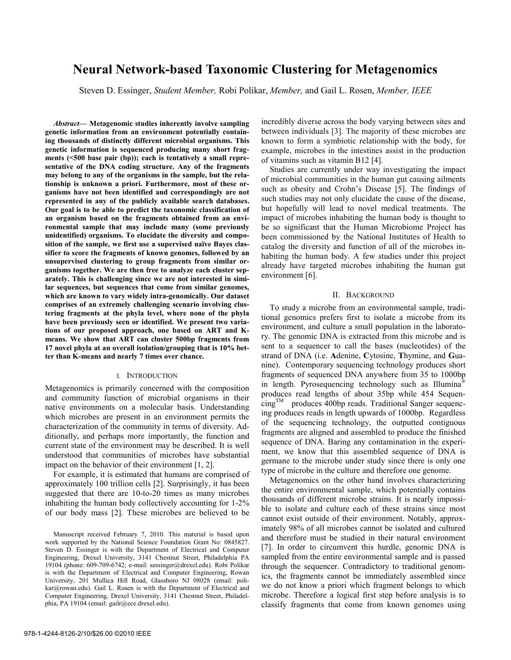# **Neural Network-based Taxonomic Clustering for Metagenomics**

Steven D. Essinger, *Student Member,* Robi Polikar, *Member,* and Gail L. Rosen, *Member, IEEE* 

*Abstract***— Metagenomic studies inherently involve sampling genetic information from an environment potentially containing thousands of distinctly different microbial organisms. This genetic information is sequenced producing many short fragments (<500 base pair (bp)); each is tentatively a small representative of the DNA coding structure. Any of the fragments may belong to any of the organisms in the sample, but the relationship is unknown a priori. Furthermore, most of these organisms have not been identified and correspondingly are not represented in any of the publicly available search databases. Our goal is to be able to predict the taxonomic classification of an organism based on the fragments obtained from an environmental sample that may include many (some previously unidentified) organisms. To elucidate the diversity and composition of the sample, we first use a supervised naïve Bayes classifier to score the fragments of known genomes, followed by an unsupervised clustering to group fragments from similar organisms together. We are then free to analyze each cluster separately. This is challenging since we are not interested in similar sequences, but sequences that come from similar genomes, which are known to vary widely intra-genomically. Our dataset comprises of an extremely challenging scenario involving clustering fragments at the phyla level, where none of the phyla have been previously seen or identified. We present two variations of our proposed approach, one based on ART and Kmeans. We show that ART can cluster 500bp fragments from 17 novel phyla at an overall isolation/grouping that is 10% better than K-means and nearly 7 times over chance.** 

#### I. INTRODUCTION

Metagenomics is primarily concerned with the composition and community function of microbial organisms in their native environments on a molecular basis. Understanding which microbes are present in an environment permits the characterization of the community in terms of diversity. Additionally, and perhaps more importantly, the function and current state of the environment may be described. It is well understood that communities of microbes have substantial impact on the behavior of their environment [1, 2].

For example, it is estimated that humans are comprised of approximately 100 trillion cells [2]. Surprisingly, it has been suggested that there are 10-to-20 times as many microbes inhabiting the human body collectively accounting for 1-2% of our body mass [2]. These microbes are believed to be incredibly diverse across the body varying between sites and between individuals [3]. The majority of these microbes are known to form a symbiotic relationship with the body, for example, microbes in the intestines assist in the production of vitamins such as vitamin B12 [4].

Studies are currently under way investigating the impact of microbial communities in the human gut causing ailments such as obesity and Crohn's Disease [5]. The findings of such studies may not only elucidate the cause of the disease, but hopefully will lead to novel medical treatments. The impact of microbes inhabiting the human body is thought to be so significant that the Human Microbiome Project has been commissioned by the National Institutes of Health to catalog the diversity and function of all of the microbes inhabiting the human body. A few studies under this project already have targeted microbes inhabiting the human gut environment [6].

#### II. BACKGROUND

To study a microbe from an environmental sample, traditional genomics prefers first to isolate a microbe from its environment, and culture a small population in the laboratory. The genomic DNA is extracted from this microbe and is sent to a sequencer to call the bases (nucleotides) of the strand of DNA (i.e. **A**denine, **C**ytosine, **T**hymine, and **G**uanine). Contemporary sequencing technology produces short fragments of sequenced DNA anywhere from 35 to 1000bp in length. Pyrosequencing technology such as Illumina® produces read lengths of about 35bp while 454 Sequen- $\mu_{\text{m}}^{\text{TM}}$  produces 400bp reads. Traditional Sanger sequencing produces reads in length upwards of 1000bp. Regardless of the sequencing technology, the outputted contiguous fragments are aligned and assembled to produce the finished sequence of DNA. Baring any contamination in the experiment, we know that this assembled sequence of DNA is germane to the microbe under study since there is only one type of microbe in the culture and therefore one genome.

Metagenomics on the other hand involves characterizing the entire environmental sample, which potentially contains thousands of different microbe strains. It is nearly impossible to isolate and culture each of these strains since most cannot exist outside of their environment. Notably, approximately 98% of all microbes cannot be isolated and cultured and therefore must be studied in their natural environment [7]. In order to circumvent this hurdle, genomic DNA is sampled from the entire environmental sample and is passed through the sequencer. Contradictory to traditional genomics, the fragments cannot be immediately assembled since we do not know a priori which fragment belongs to which microbe. Therefore a logical first step before analysis is to classify fragments that come from known genomes using

Manuscript received February 7, 2010. This material is based upon work supported by the National Science Foundation Grant No: 0845827. Steven D. Essinger is with the Department of Electrical and Computer Engineering, Drexel University, 3141 Chestnut Street, Philadelphia PA 19104 (phone: 609-709-6742; e-mail: sessinger@drexel.edu). Robi Polikar is with the Department of Electrical and Computer Engineering, Rowan University, 201 Mullica Hill Road, Glassboro NJ 08028 (email: polikar@rowan.edu). Gail L. Rosen is with the Department of Electrical and Computer Engineering, Drexel University, 3141 Chestnut Street, Philadelphia, PA 19104 (email: gailr@ece.drexel.edu).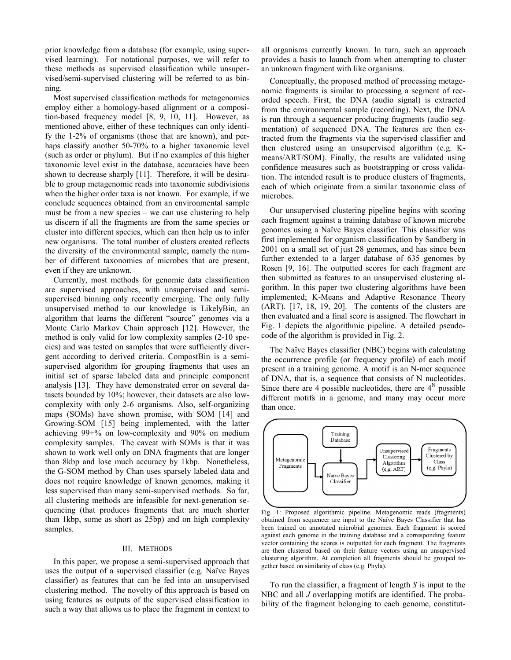prior knowledge from a database (for example, using supervised learning). For notational purposes, we will refer to these methods as supervised classification while unsupervised/semi-supervised clustering will be referred to as binning.

Most supervised classification methods for metagenomics employ either a homology-based alignment or a composition-based frequency model [8, 9, 10, 11]. However, as mentioned above, either of these techniques can only identify the 1-2% of organisms (those that are known), and perhaps classify another 50-70% to a higher taxonomic level (such as order or phylum). But if no examples of this higher taxonomic level exist in the database, accuracies have been shown to decrease sharply [11]. Therefore, it will be desirable to group metagenomic reads into taxonomic subdivisions when the higher order taxa is not known. For example, if we conclude sequences obtained from an environmental sample must be from a new species – we can use clustering to help us discern if all the fragments are from the same species or cluster into different species, which can then help us to infer new organisms. The total number of clusters created reflects the diversity of the environmental sample; namely the number of different taxonomies of microbes that are present, even if they are unknown.

Currently, most methods for genomic data classification are supervised approaches, with unsupervised and semisupervised binning only recently emerging. The only fully unsupervised method to our knowledge is LikelyBin, an algorithm that learns the different "source" genomes via a Monte Carlo Markov Chain approach [12]. However, the method is only valid for low complexity samples (2-10 species) and was tested on samples that were sufficiently divergent according to derived criteria. CompostBin is a semisupervised algorithm for grouping fragments that uses an initial set of sparse labeled data and principle component analysis [13]. They have demonstrated error on several datasets bounded by 10%; however, their datasets are also lowcomplexity with only 2-6 organisms. Also, self-organizing maps (SOMs) have shown promise, with SOM [14] and Growing-SOM [15] being implemented, with the latter achieving 99+% on low-complexity and 90% on medium complexity samples. The caveat with SOMs is that it was shown to work well only on DNA fragments that are longer than 8kbp and lose much accuracy by 1kbp. Nonetheless, the G-SOM method by Chan uses sparsely labeled data and does not require knowledge of known genomes, making it less supervised than many semi-supervised methods. So far, all clustering methods are infeasible for next-generation sequencing (that produces fragments that are much shorter than 1kbp, some as short as 25bp) and on high complexity samples.

#### III. METHODS

In this paper, we propose a semi-supervised approach that uses the output of a supervised classifier (e.g. Naïve Bayes classifier) as features that can be fed into an unsupervised clustering method. The novelty of this approach is based on using features as outputs of the supervised classification in such a way that allows us to place the fragment in context to

all organisms currently known. In turn, such an approach provides a basis to launch from when attempting to cluster an unknown fragment with like organisms.

Conceptually, the proposed method of processing metagenomic fragments is similar to processing a segment of recorded speech. First, the DNA (audio signal) is extracted from the environmental sample (recording). Next, the DNA is run through a sequencer producing fragments (audio segmentation) of sequenced DNA. The features are then extracted from the fragments via the supervised classifier and then clustered using an unsupervised algorithm (e.g. Kmeans/ART/SOM). Finally, the results are validated using confidence measures such as bootstrapping or cross validation. The intended result is to produce clusters of fragments, each of which originate from a similar taxonomic class of microbes.

Our unsupervised clustering pipeline begins with scoring each fragment against a training database of known microbe genomes using a Naïve Bayes classifier. This classifier was first implemented for organism classification by Sandberg in 2001 on a small set of just 28 genomes, and has since been further extended to a larger database of 635 genomes by Rosen [9, 16]. The outputted scores for each fragment are then submitted as features to an unsupervised clustering algorithm. In this paper two clustering algorithms have been implemented; K-Means and Adaptive Resonance Theory (ART). [17, 18, 19, 20]. The contents of the clusters are then evaluated and a final score is assigned. The flowchart in Fig. 1 depicts the algorithmic pipeline. A detailed pseudocode of the algorithm is provided in Fig. 2.

The Naïve Bayes classifier (NBC) begins with calculating the occurrence profile (or frequency profile) of each motif present in a training genome. A motif is an N-mer sequence of DNA, that is, a sequence that consists of N nucleotides. Since there are 4 possible nucleotides, there are  $4^N$  possible different motifs in a genome, and many may occur more than once.



Fig. 1: Proposed algorithmic pipeline. Metagenomic reads (fragments) obtained from sequencer are input to the Naïve Bayes Classifier that has been trained on annotated microbial genomes. Each fragment is scored against each genome in the training database and a corresponding feature vector containing the scores is outputted for each fragment. The fragments are then clustered based on their feature vectors using an unsupervised clustering algorithm. At completion all fragments should be grouped together based on similarity of class (e.g. Phyla).

To run the classifier, a fragment of length *S* is input to the NBC and all *J* overlapping motifs are identified. The probability of the fragment belonging to each genome, constitut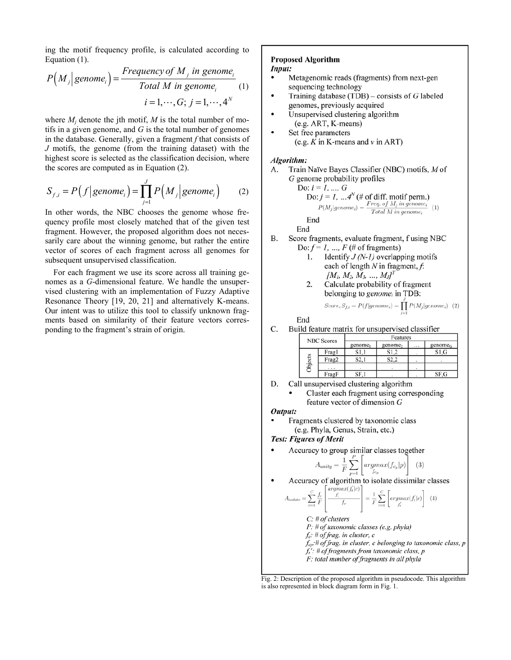ing the motif frequency profile, is calculated according to Equation (1).

$$
P\left(M_j \middle| \text{ genome}_i\right) = \frac{Frequency \text{ of } M_j \text{ in genome}_i}{Total \text{ } M \text{ in genome}_i} \quad (1)
$$
\n
$$
i = 1, \cdots, G; \ j = 1, \cdots, 4^N
$$

where  $M_i$  denote the jth motif,  $M$  is the total number of motifs in a given genome, and *G* is the total number of genomes in the database. Generally, given a fragment *f* that consists of *J* motifs, the genome (from the training dataset) with the highest score is selected as the classification decision, where the scores are computed as in Equation (2).

$$
S_{f,i} = P(f | genome_i) = \prod_{j=1}^{J} P(M_j | genome_i)
$$
 (2)

In other words, the NBC chooses the genome whose frequency profile most closely matched that of the given test fragment. However, the proposed algorithm does not necessarily care about the winning genome, but rather the entire vector of scores of each fragment across all genomes for subsequent unsupervised classification.

For each fragment we use its score across all training genomes as a *G*-dimensional feature. We handle the unsupervised clustering with an implementation of Fuzzy Adaptive Resonance Theory [19, 20, 21] and alternatively K-means. Our intent was to utilize this tool to classify unknown fragments based on similarity of their feature vectors corresponding to the fragment's strain of origin.

# **Proposed Algorithm**

### Input:

- Metagenomic reads (fragments) from next-gen sequencing technology
- Training database (TDB) consists of  $G$  labeled genomes, previously acquired
- Unsupervised clustering algorithm (e.g. ART, K-means)
- Set free parameters (e.g.  $K$  in K-means and  $v$  in ART)

#### Algorithm:

Train Naïve Bayes Classifier (NBC) motifs, M of  $\mathbf{A}$ . G genome probability profiles

o: 
$$
i = 1, ..., G
$$
  
\nDo:  $j = 1, ..., 4^N$  (# of diff. motif perm.)  
\n
$$
P(M_j|genome_i) = \frac{Freq \text{ of } M_j \text{ in genome}_i}{Total \text{ M in genome}_i} \quad (1)
$$
\nEnd

End

 $\mathbf{D}$ 

- Score fragments, evaluate fragment, f using NBC  $\mathbf{B}$ Do:  $f = 1, ..., F$  (# of fragments)
	- Identify  $J(N-1)$  overlapping motifs 1. each of length  $N$  in fragment,  $f$ :  $[M_1, M_2, M_3, ..., M_J]^T$
	- 2. Calculate probability of fragment belonging to genome<sub>i</sub> in TDB:

$$
Score, S_{f,i} = P(f|genome_i) = \prod_{j=1}^{n} P(M_j|genome_i) \quad (2)
$$

End

C. Build feature matrix for unsupervised classifier

| <b>NBC</b> Scores |        | Features            |                     |          |                     |  |
|-------------------|--------|---------------------|---------------------|----------|---------------------|--|
|                   |        | genome <sub>1</sub> | genome <sub>2</sub> | $\cdots$ | genome <sub>G</sub> |  |
|                   | Fragl  | S1.1                | S1.2                |          | S1.G                |  |
| Ξí                | Frag2  | S2.                 | S <sub>2.2</sub>    |          |                     |  |
| ъjе               | $\sim$ |                     |                     |          |                     |  |
|                   | FragF  | SF.                 |                     |          | SF.G                |  |

- D. Call unsupervised clustering algorithm
	- Cluster each fragment using corresponding feature vector of dimension  $G$

# Output:

Fragments clustered by taxonomic class (e.g. Phyla, Genus, Strain, etc.)

**Test: Figures of Merit** 

Accuracy to group similar classes together

$$
A_{unity} = \frac{1}{F} \sum_{p=1}^{P} \left[ argmax(f_{c_p} | p) \right] \tag{3}
$$

Accuracy of algorithm to isolate dissimilar classes

$$
A_{isolate} = \sum_{c=1}^{C} \frac{f_c}{F} \left| \frac{\frac{argmax(f_t|c)}{f_t}}{f_c} \right| = \frac{1}{F} \sum_{c=1}^{C} \left[ argmax(f_t|c) \right] \tag{4}
$$

 $C:$  # of clusters  $P: # of taxonomic classes (e.g. phyla)$  $f_c$ : # of frag. in cluster, c  $f_{cp}$ :# of frag. in cluster, c belonging to taxonomic class, p  $f_i$ : # of fragments from taxonomic class, p F: total number of fragments in all phyla

Fig. 2: Description of the proposed algorithm in pseudocode. This algorithm is also represented in block diagram form in Fig. 1.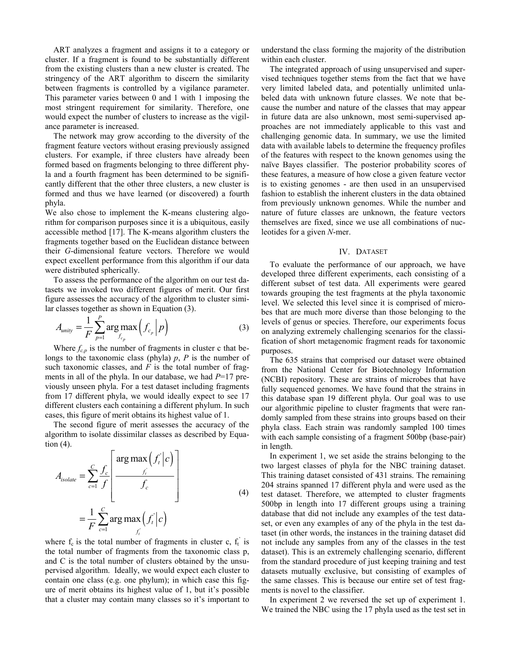ART analyzes a fragment and assigns it to a category or cluster. If a fragment is found to be substantially different from the existing clusters than a new cluster is created. The stringency of the ART algorithm to discern the similarity between fragments is controlled by a vigilance parameter. This parameter varies between 0 and 1 with 1 imposing the most stringent requirement for similarity. Therefore, one would expect the number of clusters to increase as the vigilance parameter is increased.

The network may grow according to the diversity of the fragment feature vectors without erasing previously assigned clusters. For example, if three clusters have already been formed based on fragments belonging to three different phyla and a fourth fragment has been determined to be significantly different that the other three clusters, a new cluster is formed and thus we have learned (or discovered) a fourth phyla.

We also chose to implement the K-means clustering algorithm for comparison purposes since it is a ubiquitous, easily accessible method [17]. The K-means algorithm clusters the fragments together based on the Euclidean distance between their *G*-dimensional feature vectors. Therefore we would expect excellent performance from this algorithm if our data were distributed spherically.

To assess the performance of the algorithm on our test datasets we invoked two different figures of merit. Our first figure assesses the accuracy of the algorithm to cluster similar classes together as shown in Equation (3).

$$
A_{\text{unity}} = \frac{1}{F} \sum_{p=1}^{P} \arg \max_{f_{c_p}} \left( f_{c_p} \middle| p \right) \tag{3}
$$

Where  $f_{c,p}$  is the number of fragments in cluster c that belongs to the taxonomic class (phyla) *p*, *P* is the number of such taxonomic classes, and  $F$  is the total number of fragments in all of the phyla. In our database, we had *P*=17 previously unseen phyla. For a test dataset including fragments from 17 different phyla, we would ideally expect to see 17 different clusters each containing a different phylum. In such cases, this figure of merit obtains its highest value of 1.

The second figure of merit assesses the accuracy of the algorithm to isolate dissimilar classes as described by Equation  $(4)$ .

$$
A_{isolate} = \sum_{c=1}^{C} \frac{f_c}{f} \left[ \frac{\arg \max_{f_i} (f_i^{\prime} | c)}{f_c} \right]
$$
  
=  $\frac{1}{F} \sum_{c=1}^{C} \arg \max_{f_i} (f_i^{\prime} | c)$  (4)

where  $f_c$  is the total number of fragments in cluster c,  $f_t$  is the total number of fragments from the taxonomic class p, and C is the total number of clusters obtained by the unsupervised algorithm. Ideally, we would expect each cluster to contain one class (e.g. one phylum); in which case this figure of merit obtains its highest value of 1, but it's possible that a cluster may contain many classes so it's important to

understand the class forming the majority of the distribution within each cluster.

The integrated approach of using unsupervised and supervised techniques together stems from the fact that we have very limited labeled data, and potentially unlimited unlabeled data with unknown future classes. We note that because the number and nature of the classes that may appear in future data are also unknown, most semi-supervised approaches are not immediately applicable to this vast and challenging genomic data. In summary, we use the limited data with available labels to determine the frequency profiles of the features with respect to the known genomes using the naïve Bayes classifier. The posterior probability scores of these features, a measure of how close a given feature vector is to existing genomes - are then used in an unsupervised fashion to establish the inherent clusters in the data obtained from previously unknown genomes. While the number and nature of future classes are unknown, the feature vectors themselves are fixed, since we use all combinations of nucleotides for a given *N*-mer.

#### IV. DATASET

To evaluate the performance of our approach, we have developed three different experiments, each consisting of a different subset of test data. All experiments were geared towards grouping the test fragments at the phyla taxonomic level. We selected this level since it is comprised of microbes that are much more diverse than those belonging to the levels of genus or species. Therefore, our experiments focus on analyzing extremely challenging scenarios for the classification of short metagenomic fragment reads for taxonomic purposes.

The 635 strains that comprised our dataset were obtained from the National Center for Biotechnology Information (NCBI) repository. These are strains of microbes that have fully sequenced genomes. We have found that the strains in this database span 19 different phyla. Our goal was to use our algorithmic pipeline to cluster fragments that were randomly sampled from these strains into groups based on their phyla class. Each strain was randomly sampled 100 times with each sample consisting of a fragment 500bp (base-pair) in length.

In experiment 1, we set aside the strains belonging to the two largest classes of phyla for the NBC training dataset. This training dataset consisted of 431 strains. The remaining 204 strains spanned 17 different phyla and were used as the test dataset. Therefore, we attempted to cluster fragments 500bp in length into 17 different groups using a training database that did not include any examples of the test dataset, or even any examples of any of the phyla in the test dataset (in other words, the instances in the training dataset did not include any samples from any of the classes in the test dataset). This is an extremely challenging scenario, different from the standard procedure of just keeping training and test datasets mutually exclusive, but consisting of examples of the same classes. This is because our entire set of test fragments is novel to the classifier.

In experiment 2 we reversed the set up of experiment 1. We trained the NBC using the 17 phyla used as the test set in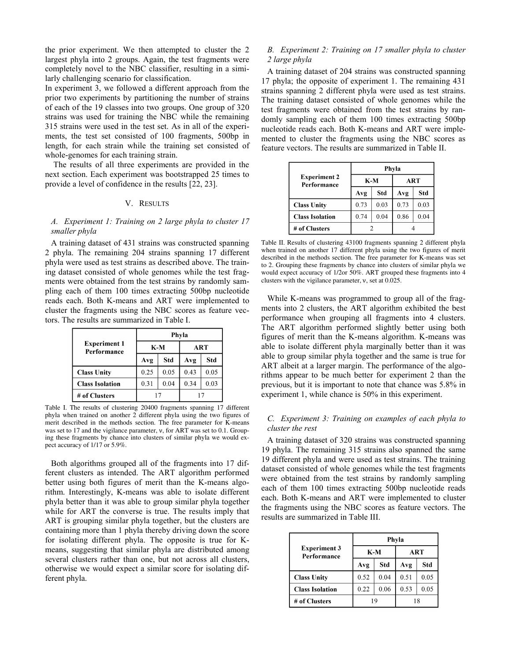the prior experiment. We then attempted to cluster the 2 largest phyla into 2 groups. Again, the test fragments were completely novel to the NBC classifier, resulting in a similarly challenging scenario for classification.

In experiment 3, we followed a different approach from the prior two experiments by partitioning the number of strains of each of the 19 classes into two groups. One group of 320 strains was used for training the NBC while the remaining 315 strains were used in the test set. As in all of the experiments, the test set consisted of 100 fragments, 500bp in length, for each strain while the training set consisted of whole-genomes for each training strain.

The results of all three experiments are provided in the next section. Each experiment was bootstrapped 25 times to provide a level of confidence in the results [22, 23].

# V. RESULTS

#### *A. Experiment 1: Training on 2 large phyla to cluster 17 smaller phyla*

A training dataset of 431 strains was constructed spanning 2 phyla. The remaining 204 strains spanning 17 different phyla were used as test strains as described above. The training dataset consisted of whole genomes while the test fragments were obtained from the test strains by randomly sampling each of them 100 times extracting 500bp nucleotide reads each. Both K-means and ART were implemented to cluster the fragments using the NBC scores as feature vectors. The results are summarized in Table I.

|                                    | Phyla |      |            |      |  |
|------------------------------------|-------|------|------------|------|--|
| <b>Experiment 1</b><br>Performance | $K-M$ |      | <b>ART</b> |      |  |
|                                    | Avg   | Std  | Avg        | Std  |  |
| <b>Class Unity</b>                 | 0.25  | 0.05 | 0.43       | 0.05 |  |
| <b>Class Isolation</b>             | 0.31  | 0.04 | 0.34       | 0.03 |  |
| # of Clusters                      |       |      |            |      |  |

Table I. The results of clustering 20400 fragments spanning 17 different phyla when trained on another 2 different phyla using the two figures of merit described in the methods section. The free parameter for K-means was set to 17 and the vigilance parameter, ν, for ART was set to 0.1. Grouping these fragments by chance into clusters of similar phyla we would expect accuracy of 1/17 or 5.9%.

Both algorithms grouped all of the fragments into 17 different clusters as intended. The ART algorithm performed better using both figures of merit than the K-means algorithm. Interestingly, K-means was able to isolate different phyla better than it was able to group similar phyla together while for ART the converse is true. The results imply that ART is grouping similar phyla together, but the clusters are containing more than 1 phyla thereby driving down the score for isolating different phyla. The opposite is true for Kmeans, suggesting that similar phyla are distributed among several clusters rather than one, but not across all clusters, otherwise we would expect a similar score for isolating different phyla.

# *B. Experiment 2: Training on 17 smaller phyla to cluster 2 large phyla*

A training dataset of 204 strains was constructed spanning 17 phyla; the opposite of experiment 1. The remaining 431 strains spanning 2 different phyla were used as test strains. The training dataset consisted of whole genomes while the test fragments were obtained from the test strains by randomly sampling each of them 100 times extracting 500bp nucleotide reads each. Both K-means and ART were implemented to cluster the fragments using the NBC scores as feature vectors. The results are summarized in Table II.

|                                    | Phyla |      |            |      |  |
|------------------------------------|-------|------|------------|------|--|
| <b>Experiment 2</b><br>Performance | $K-M$ |      | <b>ART</b> |      |  |
|                                    | Avg   | Std  | Avg        | Std  |  |
| <b>Class Unity</b>                 | 0.73  | 0.03 | 0.73       | 0.03 |  |
| <b>Class Isolation</b>             | 0.74  | 0.04 | 0.86       | 0.04 |  |
| # of Clusters                      |       |      |            |      |  |

Table II. Results of clustering 43100 fragments spanning 2 different phyla when trained on another 17 different phyla using the two figures of merit described in the methods section. The free parameter for K-means was set to 2. Grouping these fragments by chance into clusters of similar phyla we would expect accuracy of 1/2or 50%. ART grouped these fragments into 4 clusters with the vigilance parameter, ν, set at 0.025.

While K-means was programmed to group all of the fragments into 2 clusters, the ART algorithm exhibited the best performance when grouping all fragments into 4 clusters. The ART algorithm performed slightly better using both figures of merit than the K-means algorithm. K-means was able to isolate different phyla marginally better than it was able to group similar phyla together and the same is true for ART albeit at a larger margin. The performance of the algorithms appear to be much better for experiment 2 than the previous, but it is important to note that chance was 5.8% in experiment 1, while chance is 50% in this experiment.

# *C. Experiment 3: Training on examples of each phyla to cluster the rest*

A training dataset of 320 strains was constructed spanning 19 phyla. The remaining 315 strains also spanned the same 19 different phyla and were used as test strains. The training dataset consisted of whole genomes while the test fragments were obtained from the test strains by randomly sampling each of them 100 times extracting 500bp nucleotide reads each. Both K-means and ART were implemented to cluster the fragments using the NBC scores as feature vectors. The results are summarized in Table III.

|                                    | Phyla |      |            |      |  |
|------------------------------------|-------|------|------------|------|--|
| <b>Experiment 3</b><br>Performance | $K-M$ |      | <b>ART</b> |      |  |
|                                    | Avg   | Std  | Avg        | Std  |  |
| <b>Class Unity</b>                 | 0.52  | 0.04 | 0.51       | 0.05 |  |
| <b>Class Isolation</b>             | 0.22  | 0.06 | 0.53       | 0.05 |  |
| # of Clusters                      | 19    |      | 18         |      |  |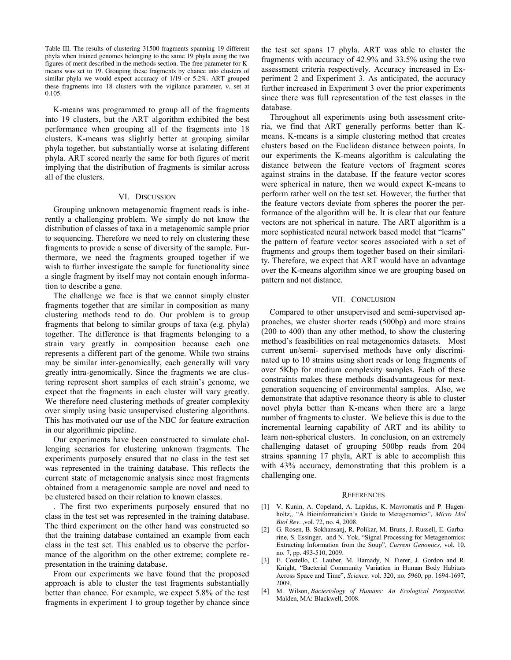Table III. The results of clustering 31500 fragments spanning 19 different phyla when trained genomes belonging to the same 19 phyla using the two figures of merit described in the methods section. The free parameter for Kmeans was set to 19. Grouping these fragments by chance into clusters of similar phyla we would expect accuracy of 1/19 or 5.2%. ART grouped these fragments into 18 clusters with the vigilance parameter, ν, set at 0.105.

K-means was programmed to group all of the fragments into 19 clusters, but the ART algorithm exhibited the best performance when grouping all of the fragments into 18 clusters. K-means was slightly better at grouping similar phyla together, but substantially worse at isolating different phyla. ART scored nearly the same for both figures of merit implying that the distribution of fragments is similar across all of the clusters.

# VI. DISCUSSION

Grouping unknown metagenomic fragment reads is inherently a challenging problem. We simply do not know the distribution of classes of taxa in a metagenomic sample prior to sequencing. Therefore we need to rely on clustering these fragments to provide a sense of diversity of the sample. Furthermore, we need the fragments grouped together if we wish to further investigate the sample for functionality since a single fragment by itself may not contain enough information to describe a gene.

The challenge we face is that we cannot simply cluster fragments together that are similar in composition as many clustering methods tend to do. Our problem is to group fragments that belong to similar groups of taxa (e.g. phyla) together. The difference is that fragments belonging to a strain vary greatly in composition because each one represents a different part of the genome. While two strains may be similar inter-genomically, each generally will vary greatly intra-genomically. Since the fragments we are clustering represent short samples of each strain's genome, we expect that the fragments in each cluster will vary greatly. We therefore need clustering methods of greater complexity over simply using basic unsupervised clustering algorithms. This has motivated our use of the NBC for feature extraction in our algorithmic pipeline.

Our experiments have been constructed to simulate challenging scenarios for clustering unknown fragments. The experiments purposely ensured that no class in the test set was represented in the training database. This reflects the current state of metagenomic analysis since most fragments obtained from a metagenomic sample are novel and need to be clustered based on their relation to known classes.

. The first two experiments purposely ensured that no class in the test set was represented in the training database. The third experiment on the other hand was constructed so that the training database contained an example from each class in the test set. This enabled us to observe the performance of the algorithm on the other extreme; complete representation in the training database.

From our experiments we have found that the proposed approach is able to cluster the test fragments substantially better than chance. For example, we expect 5.8% of the test fragments in experiment 1 to group together by chance since

the test set spans 17 phyla. ART was able to cluster the fragments with accuracy of 42.9% and 33.5% using the two assessment criteria respectively. Accuracy increased in Experiment 2 and Experiment 3. As anticipated, the accuracy further increased in Experiment 3 over the prior experiments since there was full representation of the test classes in the database.

Throughout all experiments using both assessment criteria, we find that ART generally performs better than Kmeans. K-means is a simple clustering method that creates clusters based on the Euclidean distance between points. In our experiments the K-means algorithm is calculating the distance between the feature vectors of fragment scores against strains in the database. If the feature vector scores were spherical in nature, then we would expect K-means to perform rather well on the test set. However, the further that the feature vectors deviate from spheres the poorer the performance of the algorithm will be. It is clear that our feature vectors are not spherical in nature. The ART algorithm is a more sophisticated neural network based model that "learns" the pattern of feature vector scores associated with a set of fragments and groups them together based on their similarity. Therefore, we expect that ART would have an advantage over the K-means algorithm since we are grouping based on pattern and not distance.

#### VII. CONCLUSION

Compared to other unsupervised and semi-supervised approaches, we cluster shorter reads (500bp) and more strains (200 to 400) than any other method, to show the clustering method's feasibilities on real metagenomics datasets. Most current un/semi- supervised methods have only discriminated up to 10 strains using short reads or long fragments of over 5Kbp for medium complexity samples. Each of these constraints makes these methods disadvantageous for nextgeneration sequencing of environmental samples. Also, we demonstrate that adaptive resonance theory is able to cluster novel phyla better than K-means when there are a large number of fragments to cluster. We believe this is due to the incremental learning capability of ART and its ability to learn non-spherical clusters. In conclusion, on an extremely challenging dataset of grouping 500bp reads from 204 strains spanning 17 phyla, ART is able to accomplish this with 43% accuracy, demonstrating that this problem is a challenging one.

#### **REFERENCES**

- [1] V. Kunin, A. Copeland, A. Lapidus, K. Mavromatis and P. Hugenholtz,, "A Bioinformatician's Guide to Metagenomics", *Micro Mol Biol Rev*. ,vol. 72, no. 4, 2008.
- [2] G. Rosen, B. Sokhansanj, R. Polikar, M. Bruns, J. Russell, E. Garbarine, S. Essinger, and N. Yok, "Signal Processing for Metagenomics: Extracting Information from the Soup", *Current Genomics*, vol. 10, no. 7, pp. 493-510, 2009.
- [3] E. Costello, C. Lauber, M. Hamady, N. Fierer, J. Gordon and R. Knight, "Bacterial Community Variation in Human Body Habitats Across Space and Time", *Science,* vol. 320, no. 5960, pp. 1694-1697, 2009.
- [4] M. Wilson, *Bacteriology of Humans: An Ecological Perspective.*  Malden, MA: Blackwell, 2008.